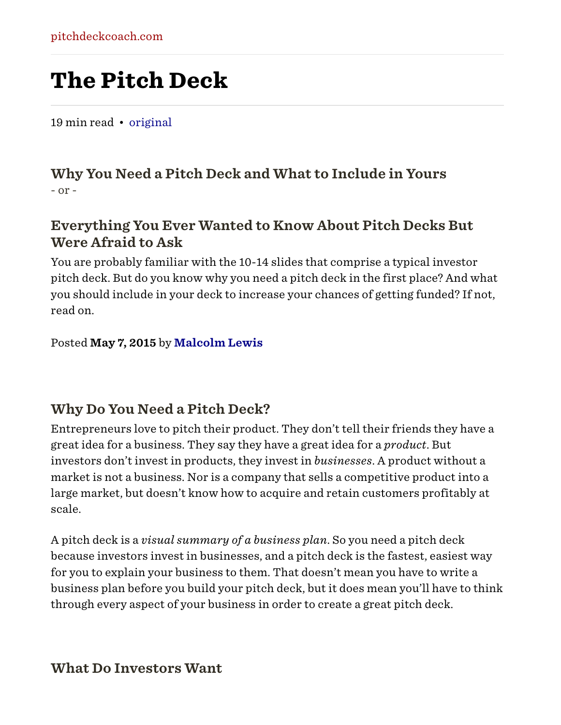## The Pitch Deck

19 min read • [original](http://pitchdeckcoach.com/pitch-deck)

#### Why You Need a Pitch Deck and What to Include in Yours - or -

#### Everything You Ever Wanted to Know About Pitch Decks But Were Afraid to Ask

You are probably familiar with the 10-14 slides that comprise a typical investor pitch deck. But do you know why you need a pitch deck in the first place? And what you should include in your deck to increase your chances of getting funded? If not, read on.

Posted May 7, 2015 by [Malcolm Lewis](http://pitchdeckcoach.com/)

#### Why Do You Need a Pitch Deck?

Entrepreneurs love to pitch their product. They don't tell their friends they have a great idea for a business. They say they have a great idea for a *product*. But investors don't invest in products, they invest in *businesses*. A product without a market is not a business. Nor is a company that sells a competitive product into a large market, but doesn't know how to acquire and retain customers profitably at scale.

A pitch deck is a *visual summary of a business plan*. So you need a pitch deck because investors invest in businesses, and a pitch deck is the fastest, easiest way for you to explain your business to them. That doesn't mean you have to write a business plan before you build your pitch deck, but it does mean you'll have to think through every aspect of your business in order to create a great pitch deck.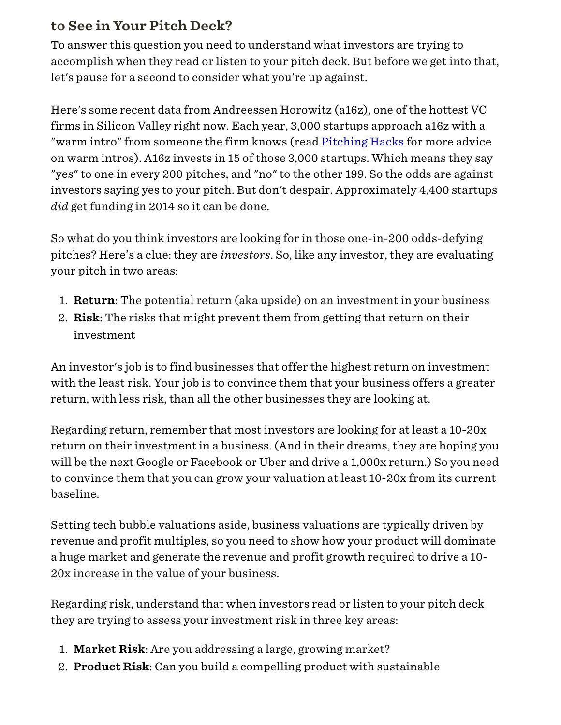#### to See in Your Pitch Deck?

To answer this question you need to understand what investors are trying to accomplish when they read or listen to your pitch deck. But before we get into that, let's pause for a second to consider what you're up against.

Here's some recent data from Andreessen Horowitz (a16z), one of the hottest VC firms in Silicon Valley right now. Each year, 3,000 startups approach a16z with a "warm intro" from someone the firm knows (read [Pitching Hacks](http://venturehacks.wpengine.com/wp-content/uploads/2009/12/Pitching-Hacks.pdf) for more advice on warm intros). A16z invests in 15 of those 3,000 startups. Which means they say "yes" to one in every 200 pitches, and "no" to the other 199. So the odds are against investors saying yes to your pitch. But don't despair. Approximately 4,400 startups *did* get funding in 2014 so it can be done.

So what do you think investors are looking for in those one-in-200 odds-defying pitches? Here's a clue: they are *investors*. So, like any investor, they are evaluating your pitch in two areas:

- 1. Return: The potential return (aka upside) on an investment in your business
- 2. Risk: The risks that might prevent them from getting that return on their investment

An investor's job is to find businesses that offer the highest return on investment with the least risk. Your job is to convince them that your business offers a greater return, with less risk, than all the other businesses they are looking at.

Regarding return, remember that most investors are looking for at least a 10-20x return on their investment in a business. (And in their dreams, they are hoping you will be the next Google or Facebook or Uber and drive a 1,000x return.) So you need to convince them that you can grow your valuation at least 10-20x from its current baseline.

Setting tech bubble valuations aside, business valuations are typically driven by revenue and profit multiples, so you need to show how your product will dominate a huge market and generate the revenue and profit growth required to drive a 10- 20x increase in the value of your business.

Regarding risk, understand that when investors read or listen to your pitch deck they are trying to assess your investment risk in three key areas:

- 1. Market Risk: Are you addressing a large, growing market?
- 2. **Product Risk**: Can you build a compelling product with sustainable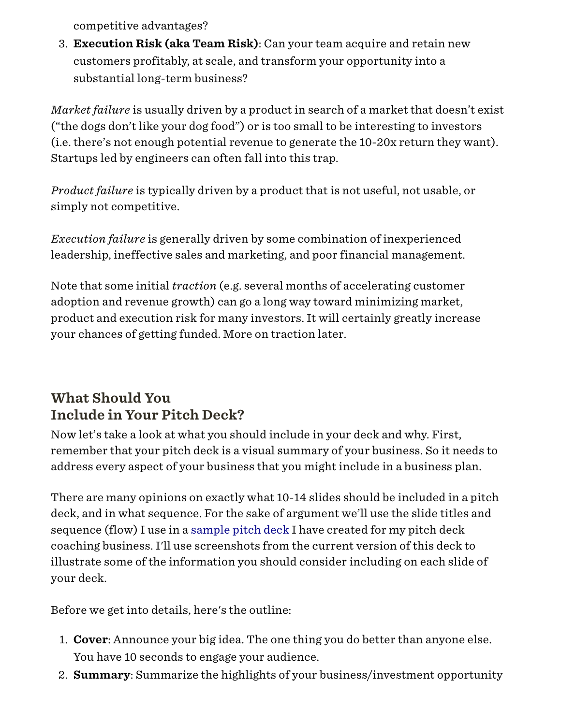competitive advantages?

3. Execution Risk (aka Team Risk): Can your team acquire and retain new customers profitably, at scale, and transform your opportunity into a substantial long-term business?

*Market failure* is usually driven by a product in search of a market that doesn't exist ("the dogs don't like your dog food") or is too small to be interesting to investors (i.e. there's not enough potential revenue to generate the 10-20x return they want). Startups led by engineers can often fall into this trap.

*Product failure* is typically driven by a product that is not useful, not usable, or simply not competitive.

*Execution failure* is generally driven by some combination of inexperienced leadership, ineffective sales and marketing, and poor financial management.

Note that some initial *traction* (e.g. several months of accelerating customer adoption and revenue growth) can go a long way toward minimizing market, product and execution risk for many investors. It will certainly greatly increase your chances of getting funded. More on traction later.

### What Should You Include in Your Pitch Deck?

Now let's take a look at what you should include in your deck and why. First, remember that your pitch deck is a visual summary of your business. So it needs to address every aspect of your business that you might include in a business plan.

There are many opinions on exactly what 10-14 slides should be included in a pitch deck, and in what sequence. For the sake of argument we'll use the slide titles and sequence (flow) I use in a [sample pitch deck](http://www.slideshare.net/PitchDeckCoach/the-ultimate-pitch-deck-template-by-pitchdeckcoach) I have created for my pitch deck coaching business. I'll use screenshots from the current version of this deck to illustrate some of the information you should consider including on each slide of your deck.

Before we get into details, here's the outline:

- 1. **Cover:** Announce your big idea. The one thing you do better than anyone else. You have 10 seconds to engage your audience.
- 2. **Summary:** Summarize the highlights of your business/investment opportunity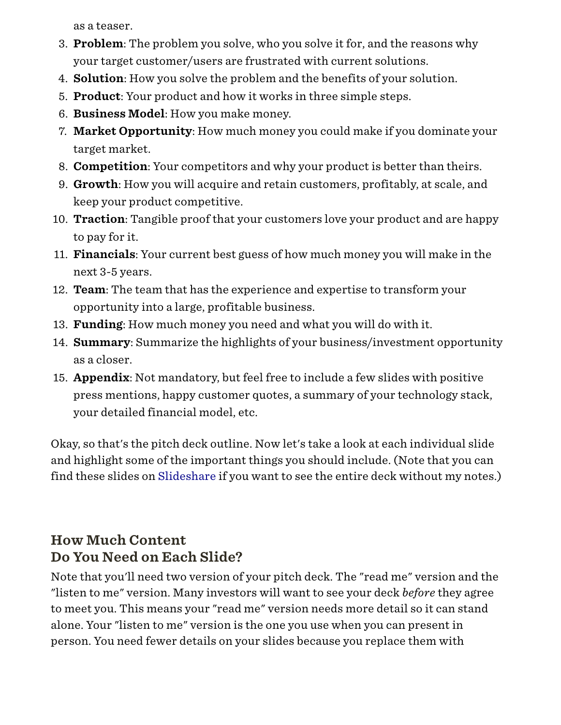as a teaser.

- 3. Problem: The problem you solve, who you solve it for, and the reasons why your target customer/users are frustrated with current solutions.
- 4. Solution: How you solve the problem and the benefits of your solution.
- 5. Product: Your product and how it works in three simple steps.
- 6. Business Model: How you make money.
- 7. Market Opportunity: How much money you could make if you dominate your target market.
- 8. Competition: Your competitors and why your product is better than theirs.
- 9. Growth: How you will acquire and retain customers, profitably, at scale, and keep your product competitive.
- 10. **Traction**: Tangible proof that your customers love your product and are happy to pay for it.
- 11. Financials: Your current best guess of how much money you will make in the next 3-5 years.
- 12. **Team**: The team that has the experience and expertise to transform your opportunity into a large, profitable business.
- 13. Funding: How much money you need and what you will do with it.
- 14. **Summary:** Summarize the highlights of your business/investment opportunity as a closer.
- 15. Appendix: Not mandatory, but feel free to include a few slides with positive press mentions, happy customer quotes, a summary of your technology stack, your detailed financial model, etc.

Okay, so that's the pitch deck outline. Now let's take a look at each individual slide and highlight some of the important things you should include. (Note that you can find these slides on [Slideshare](http://www.slideshare.net/PitchDeckCoach/the-ultimate-pitch-deck-template-by-pitchdeckcoach) if you want to see the entire deck without my notes.)

### How Much Content Do You Need on Each Slide?

Note that you'll need two version of your pitch deck. The "read me" version and the "listen to me" version. Many investors will want to see your deck *before* they agree to meet you. This means your "read me" version needs more detail so it can stand alone. Your "listen to me" version is the one you use when you can present in person. You need fewer details on your slides because you replace them with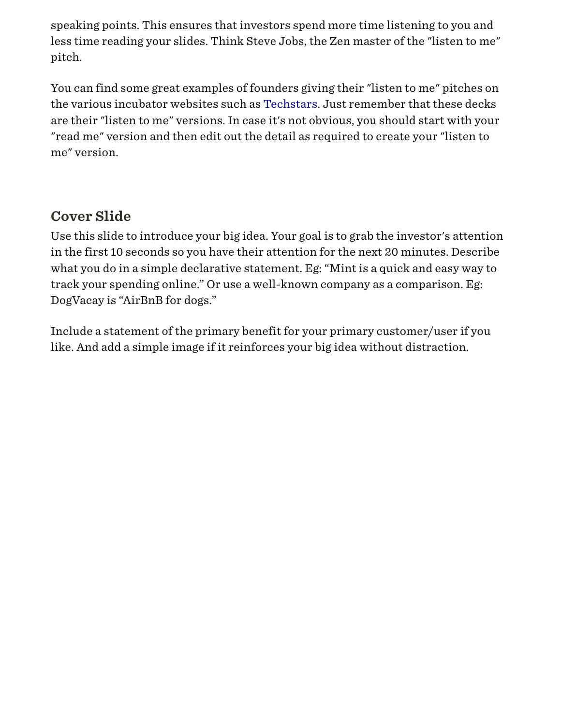speaking points. This ensures that investors spend more time listening to you and less time reading your slides. Think Steve Jobs, the Zen master of the "listen to me" pitch.

You can find some great examples of founders giving their "listen to me" pitches on the various incubator websites such as [Techstars](http://www.techstars.com/breaking-down-pitches-an-interactive-video-by-flixmaster/). Just remember that these decks are their "listen to me" versions. In case it's not obvious, you should start with your "read me" version and then edit out the detail as required to create your "listen to me" version.

### Cover Slide

Use this slide to introduce your big idea. Your goal is to grab the investor's attention in the first 10 seconds so you have their attention for the next 20 minutes. Describe what you do in a simple declarative statement. Eg: "Mint is a quick and easy way to track your spending online." Or use a well-known company as a comparison. Eg: DogVacay is "AirBnB for dogs."

Include a statement of the primary benefit for your primary customer/user if you like. And add a simple image if it reinforces your big idea without distraction.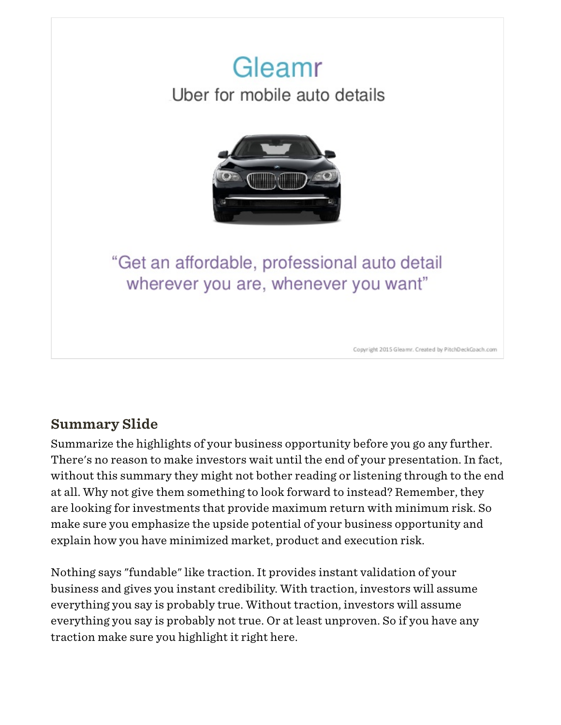

### Summary Slide

Summarize the highlights of your business opportunity before you go any further. There's no reason to make investors wait until the end of your presentation. In fact, without this summary they might not bother reading or listening through to the end at all. Why not give them something to look forward to instead? Remember, they are looking for investments that provide maximum return with minimum risk. So make sure you emphasize the upside potential of your business opportunity and explain how you have minimized market, product and execution risk.

Nothing says "fundable" like traction. It provides instant validation of your business and gives you instant credibility. With traction, investors will assume everything you say is probably true. Without traction, investors will assume everything you say is probably not true. Or at least unproven. So if you have any traction make sure you highlight it right here.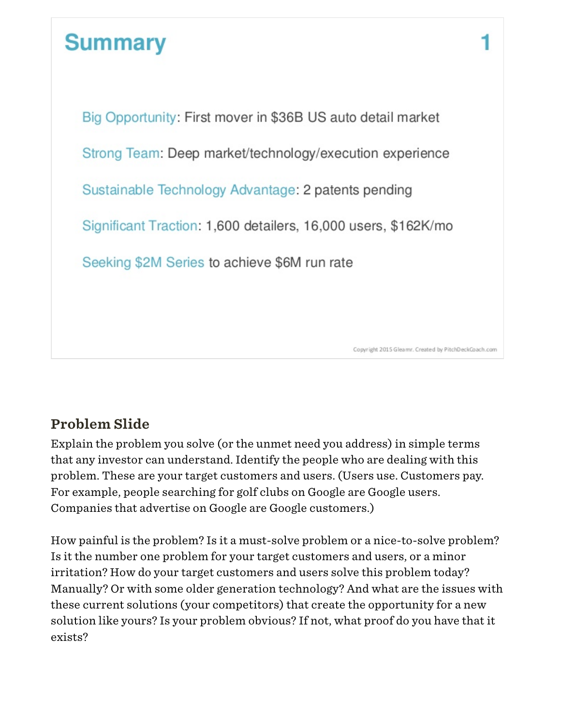# **Summary**

Big Opportunity: First mover in \$36B US auto detail market Strong Team: Deep market/technology/execution experience Sustainable Technology Advantage: 2 patents pending Significant Traction: 1,600 detailers, 16,000 users, \$162K/mo Seeking \$2M Series to achieve \$6M run rate

### Problem Slide

Explain the problem you solve (or the unmet need you address) in simple terms that any investor can understand. Identify the people who are dealing with this problem. These are your target customers and users. (Users use. Customers pay. For example, people searching for golf clubs on Google are Google users. Companies that advertise on Google are Google customers.)

How painful is the problem? Is it a must-solve problem or a nice-to-solve problem? Is it the number one problem for your target customers and users, or a minor irritation? How do your target customers and users solve this problem today? Manually? Or with some older generation technology? And what are the issues with these current solutions (your competitors) that create the opportunity for a new solution like yours? Is your problem obvious? If not, what proof do you have that it exists?

Copyright 2015 Gleamr. Created by PitchDeckCoach.com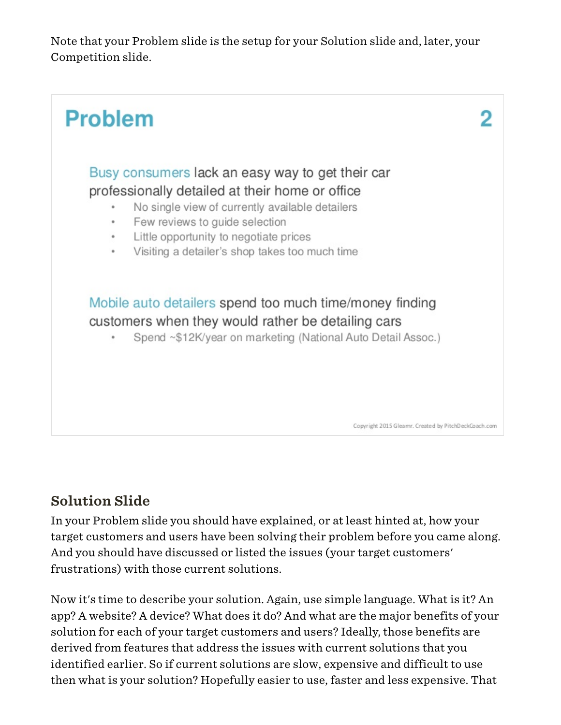Note that your Problem slide is the setup for your Solution slide and, later, your Competition slide.

![](_page_7_Figure_1.jpeg)

#### Solution Slide

In your Problem slide you should have explained, or at least hinted at, how your target customers and users have been solving their problem before you came along. And you should have discussed or listed the issues (your target customers' frustrations) with those current solutions.

Now it's time to describe your solution. Again, use simple language. What is it? An app? A website? A device? What does it do? And what are the major benefits of your solution for each of your target customers and users? Ideally, those benefits are derived from features that address the issues with current solutions that you identified earlier. So if current solutions are slow, expensive and difficult to use then what is your solution? Hopefully easier to use, faster and less expensive. That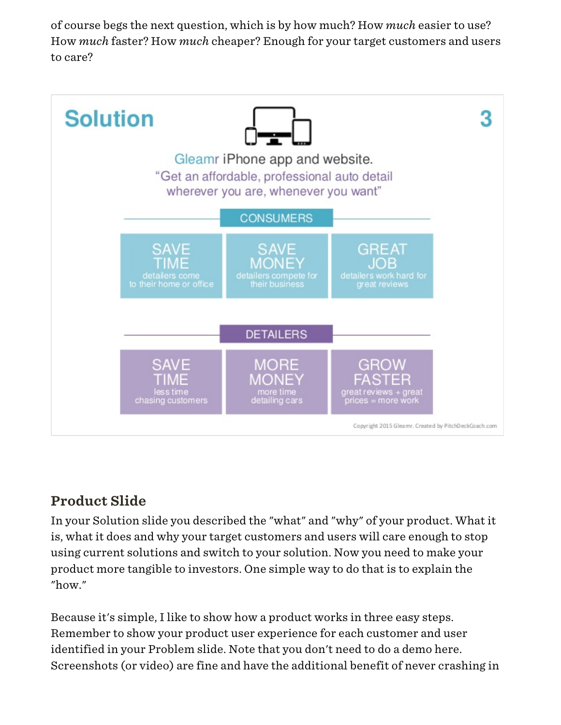of course begs the next question, which is by how much? How *much* easier to use? How *much* faster? How *much* cheaper? Enough for your target customers and users to care?

![](_page_8_Figure_1.jpeg)

### Product Slide

In your Solution slide you described the "what" and "why" of your product. What it is, what it does and why your target customers and users will care enough to stop using current solutions and switch to your solution. Now you need to make your product more tangible to investors. One simple way to do that is to explain the "how."

Because it's simple, I like to show how a product works in three easy steps. Remember to show your product user experience for each customer and user identified in your Problem slide. Note that you don't need to do a demo here. Screenshots (or video) are fine and have the additional benefit of never crashing in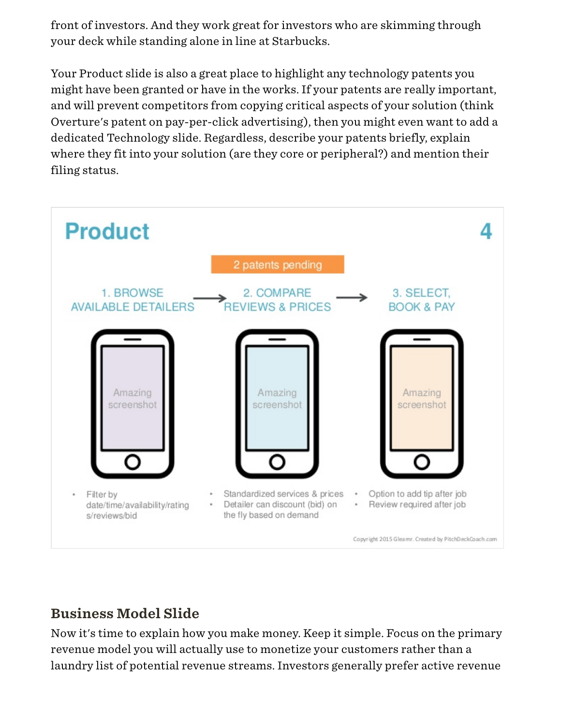front of investors. And they work great for investors who are skimming through your deck while standing alone in line at Starbucks.

Your Product slide is also a great place to highlight any technology patents you might have been granted or have in the works. If your patents are really important, and will prevent competitors from copying critical aspects of your solution (think Overture's patent on pay-per-click advertising), then you might even want to add a dedicated Technology slide. Regardless, describe your patents briefly, explain where they fit into your solution (are they core or peripheral?) and mention their filing status.

![](_page_9_Figure_2.jpeg)

#### Business Model Slide

Now it's time to explain how you make money. Keep it simple. Focus on the primary revenue model you will actually use to monetize your customers rather than a laundry list of potential revenue streams. Investors generally prefer active revenue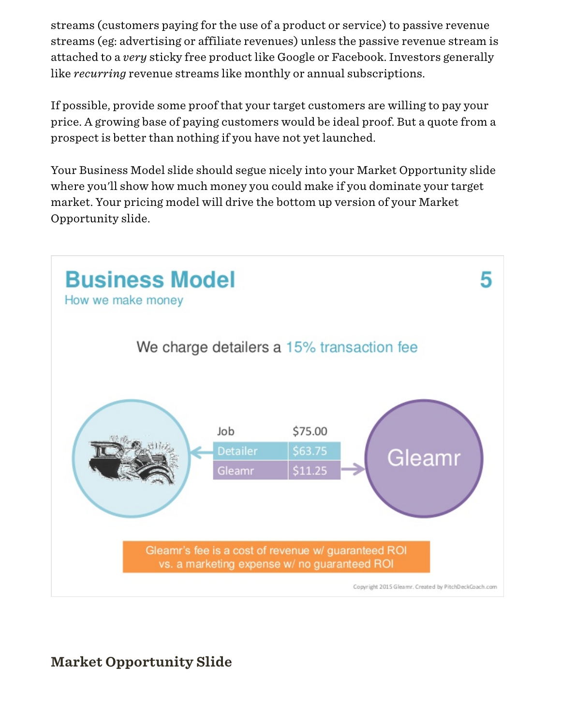streams (customers paying for the use of a product or service) to passive revenue streams (eg: advertising or affiliate revenues) unless the passive revenue stream is attached to a *very* sticky free product like Google or Facebook. Investors generally like *recurring* revenue streams like monthly or annual subscriptions.

If possible, provide some proof that your target customers are willing to pay your price. A growing base of paying customers would be ideal proof. But a quote from a prospect is better than nothing if you have not yet launched.

Your Business Model slide should segue nicely into your Market Opportunity slide where you'll show how much money you could make if you dominate your target market. Your pricing model will drive the bottom up version of your Market Opportunity slide.

![](_page_10_Figure_3.jpeg)

### Market Opportunity Slide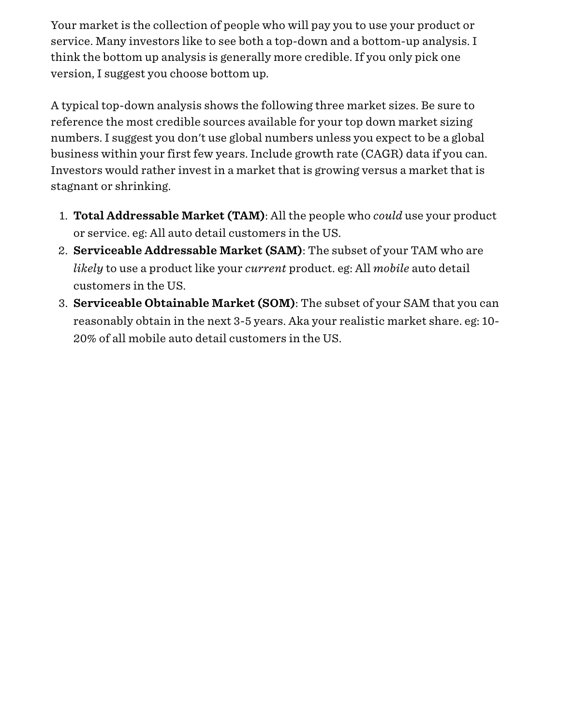Your market is the collection of people who will pay you to use your product or service. Many investors like to see both a top-down and a bottom-up analysis. I think the bottom up analysis is generally more credible. If you only pick one version, I suggest you choose bottom up.

A typical top-down analysis shows the following three market sizes. Be sure to reference the most credible sources available for your top down market sizing numbers. I suggest you don't use global numbers unless you expect to be a global business within your first few years. Include growth rate (CAGR) data if you can. Investors would rather invest in a market that is growing versus a market that is stagnant or shrinking.

- 1. Total Addressable Market (TAM): All the people who *could* use your product or service. eg: All auto detail customers in the US.
- 2. Serviceable Addressable Market (SAM): The subset of your TAM who are *likely* to use a product like your *current* product. eg: All *mobile* auto detail customers in the US.
- 3. Serviceable Obtainable Market (SOM): The subset of your SAM that you can reasonably obtain in the next 3-5 years. Aka your realistic market share. eg: 10- 20% of all mobile auto detail customers in the US.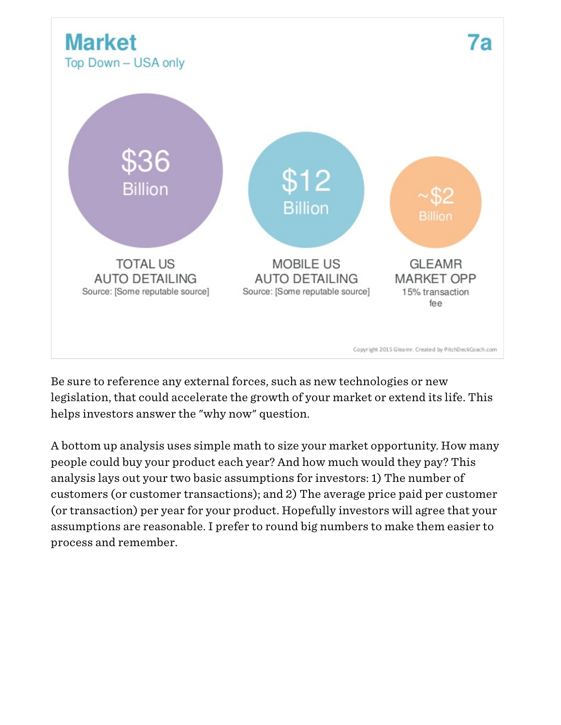![](_page_12_Figure_0.jpeg)

Be sure to reference any external forces, such as new technologies or new legislation, that could accelerate the growth of your market or extend its life. This helps investors answer the "why now" question.

A bottom up analysis uses simple math to size your market opportunity. How many people could buy your product each year? And how much would they pay? This analysis lays out your two basic assumptions for investors: 1) The number of customers (or customer transactions); and 2) The average price paid per customer (or transaction) per year for your product. Hopefully investors will agree that your assumptions are reasonable. I prefer to round big numbers to make them easier to process and remember.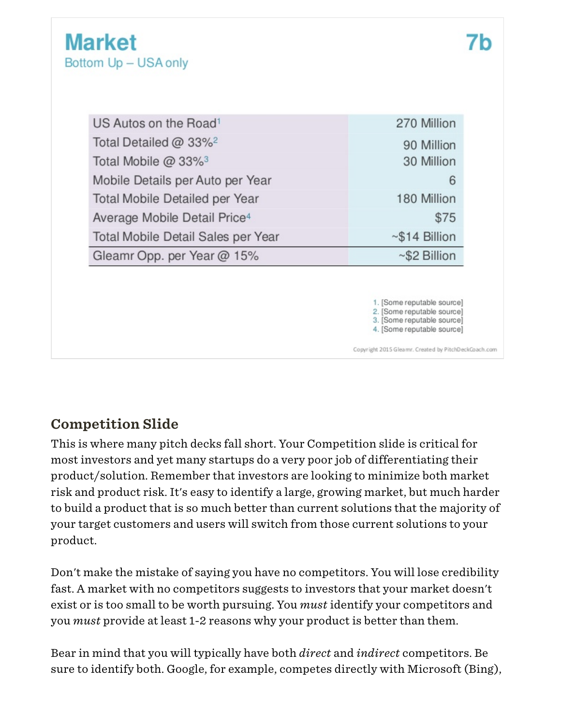| US Autos on the Road <sup>1</sup>        | 270 Million                                                                                                          |
|------------------------------------------|----------------------------------------------------------------------------------------------------------------------|
| Total Detailed @ 33% <sup>2</sup>        | 90 Million                                                                                                           |
| Total Mobile $@33\%$ <sup>3</sup>        | 30 Million                                                                                                           |
| Mobile Details per Auto per Year         | 6                                                                                                                    |
| Total Mobile Detailed per Year           | 180 Million                                                                                                          |
| Average Mobile Detail Price <sup>4</sup> | \$75                                                                                                                 |
| Total Mobile Detail Sales per Year       | $~514$ Billion                                                                                                       |
| Gleamr Opp. per Year @ 15%               | $~\sim$ \$2 Billion                                                                                                  |
|                                          | 1. [Some reputable source]<br>2. [Some reputable source]<br>3. [Some reputable source]<br>4. [Some reputable source] |
|                                          | Copyright 2015 Gleamr. Created by PitchDeckCoach.com                                                                 |

### Competition Slide

This is where many pitch decks fall short. Your Competition slide is critical for most investors and yet many startups do a very poor job of differentiating their product/solution. Remember that investors are looking to minimize both market risk and product risk. It's easy to identify a large, growing market, but much harder to build a product that is so much better than current solutions that the majority of your target customers and users will switch from those current solutions to your product.

Don't make the mistake of saying you have no competitors. You will lose credibility fast. A market with no competitors suggests to investors that your market doesn't exist or is too small to be worth pursuing. You *must* identify your competitors and you *must* provide at least 1-2 reasons why your product is better than them.

Bear in mind that you will typically have both *direct* and *indirect* competitors. Be sure to identify both. Google, for example, competes directly with Microsoft (Bing),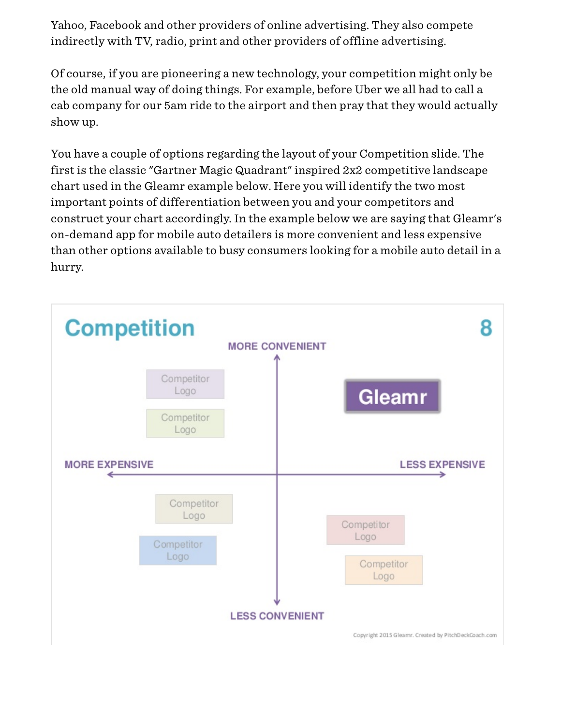Yahoo, Facebook and other providers of online advertising. They also compete indirectly with TV, radio, print and other providers of offline advertising.

Of course, if you are pioneering a new technology, your competition might only be the old manual way of doing things. For example, before Uber we all had to call a cab company for our 5am ride to the airport and then pray that they would actually show up.

You have a couple of options regarding the layout of your Competition slide. The first is the classic "Gartner Magic Quadrant" inspired 2x2 competitive landscape chart used in the Gleamr example below. Here you will identify the two most important points of differentiation between you and your competitors and construct your chart accordingly. In the example below we are saying that Gleamr's on-demand app for mobile auto detailers is more convenient and less expensive than other options available to busy consumers looking for a mobile auto detail in a hurry.

![](_page_14_Figure_3.jpeg)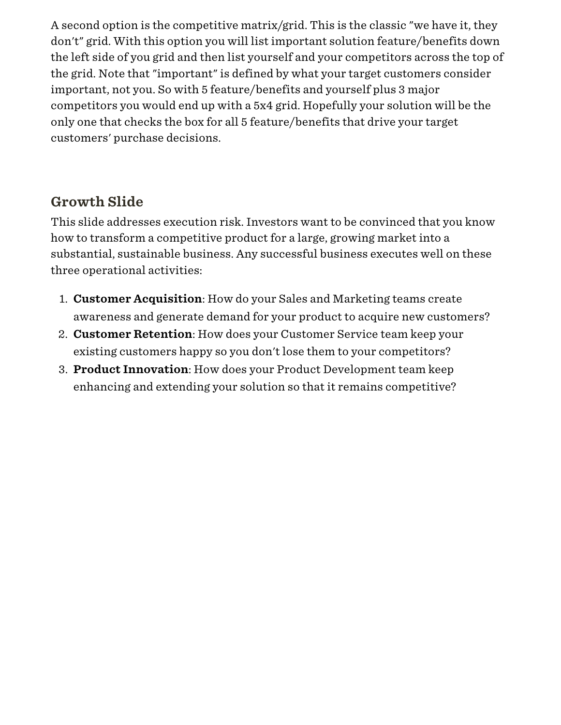A second option is the competitive matrix/grid. This is the classic "we have it, they don't" grid. With this option you will list important solution feature/benefits down the left side of you grid and then list yourself and your competitors across the top of the grid. Note that "important" is defined by what your target customers consider important, not you. So with 5 feature/benefits and yourself plus 3 major competitors you would end up with a 5x4 grid. Hopefully your solution will be the only one that checks the box for all 5 feature/benefits that drive your target customers' purchase decisions.

#### Growth Slide

This slide addresses execution risk. Investors want to be convinced that you know how to transform a competitive product for a large, growing market into a substantial, sustainable business. Any successful business executes well on these three operational activities:

- 1. Customer Acquisition: How do your Sales and Marketing teams create awareness and generate demand for your product to acquire new customers?
- 2. Customer Retention: How does your Customer Service team keep your existing customers happy so you don't lose them to your competitors?
- 3. Product Innovation: How does your Product Development team keep enhancing and extending your solution so that it remains competitive?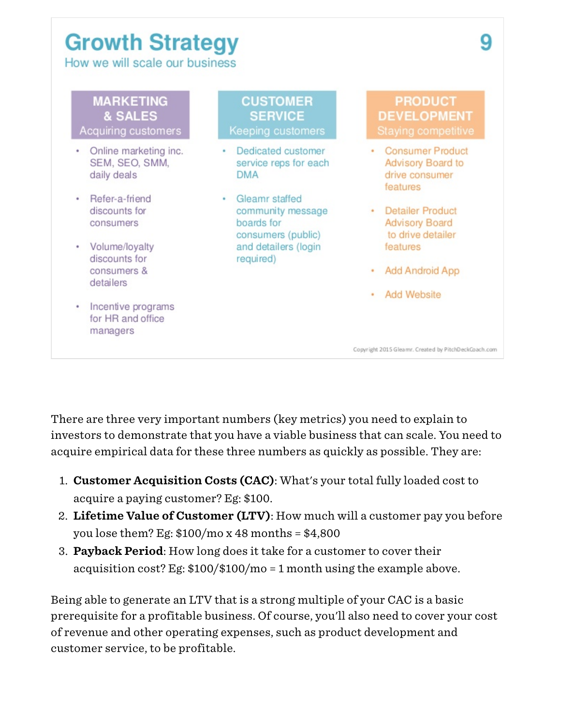# **Growth Strategy**

How we will scale our business

![](_page_16_Figure_2.jpeg)

There are three very important numbers (key metrics) you need to explain to investors to demonstrate that you have a viable business that can scale. You need to acquire empirical data for these three numbers as quickly as possible. They are:

- 1. Customer Acquisition Costs (CAC): What's your total fully loaded cost to acquire a paying customer? Eg: \$100.
- 2. Lifetime Value of Customer (LTV): How much will a customer pay you before you lose them? Eg:  $$100/mol \times 48$  months =  $$4,800$
- 3. Payback Period: How long does it take for a customer to cover their acquisition cost? Eg: \$100/\$100/mo = 1 month using the example above.

Being able to generate an LTV that is a strong multiple of your CAC is a basic prerequisite for a profitable business. Of course, you'll also need to cover your cost of revenue and other operating expenses, such as product development and customer service, to be profitable.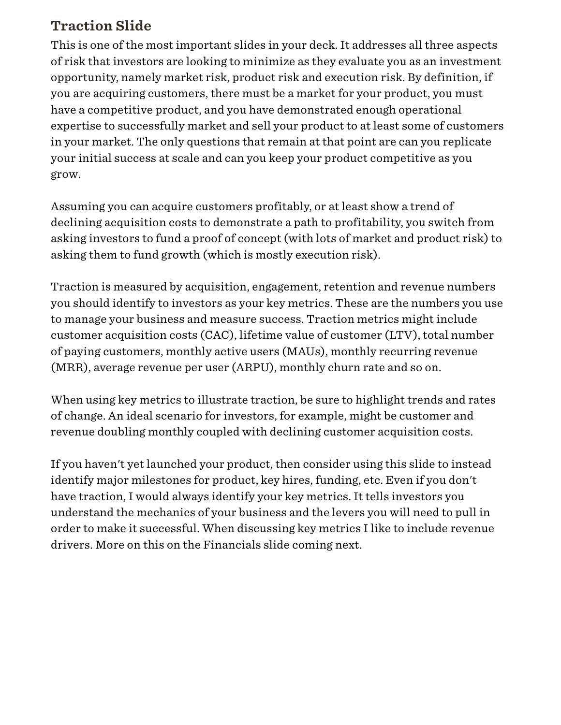#### Traction Slide

This is one of the most important slides in your deck. It addresses all three aspects of risk that investors are looking to minimize as they evaluate you as an investment opportunity, namely market risk, product risk and execution risk. By definition, if you are acquiring customers, there must be a market for your product, you must have a competitive product, and you have demonstrated enough operational expertise to successfully market and sell your product to at least some of customers in your market. The only questions that remain at that point are can you replicate your initial success at scale and can you keep your product competitive as you grow.

Assuming you can acquire customers profitably, or at least show a trend of declining acquisition costs to demonstrate a path to profitability, you switch from asking investors to fund a proof of concept (with lots of market and product risk) to asking them to fund growth (which is mostly execution risk).

Traction is measured by acquisition, engagement, retention and revenue numbers you should identify to investors as your key metrics. These are the numbers you use to manage your business and measure success. Traction metrics might include customer acquisition costs (CAC), lifetime value of customer (LTV), total number of paying customers, monthly active users (MAUs), monthly recurring revenue (MRR), average revenue per user (ARPU), monthly churn rate and so on.

When using key metrics to illustrate traction, be sure to highlight trends and rates of change. An ideal scenario for investors, for example, might be customer and revenue doubling monthly coupled with declining customer acquisition costs.

If you haven't yet launched your product, then consider using this slide to instead identify major milestones for product, key hires, funding, etc. Even if you don't have traction, I would always identify your key metrics. It tells investors you understand the mechanics of your business and the levers you will need to pull in order to make it successful. When discussing key metrics I like to include revenue drivers. More on this on the Financials slide coming next.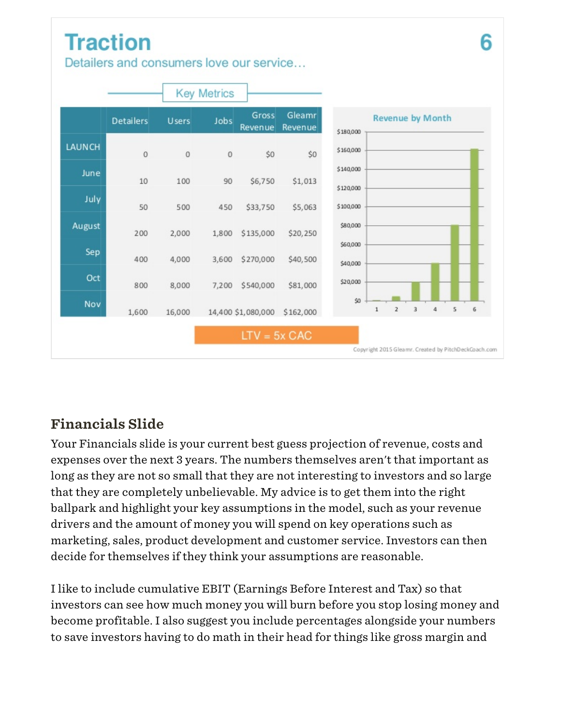# **Traction**

Detailers and consumers love our service...

![](_page_18_Figure_2.jpeg)

### Financials Slide

Your Financials slide is your current best guess projection of revenue, costs and expenses over the next 3 years. The numbers themselves aren't that important as long as they are not so small that they are not interesting to investors and so large that they are completely unbelievable. My advice is to get them into the right ballpark and highlight your key assumptions in the model, such as your revenue drivers and the amount of money you will spend on key operations such as marketing, sales, product development and customer service. Investors can then decide for themselves if they think your assumptions are reasonable.

I like to include cumulative EBIT (Earnings Before Interest and Tax) so that investors can see how much money you will burn before you stop losing money and become profitable. I also suggest you include percentages alongside your numbers to save investors having to do math in their head for things like gross margin and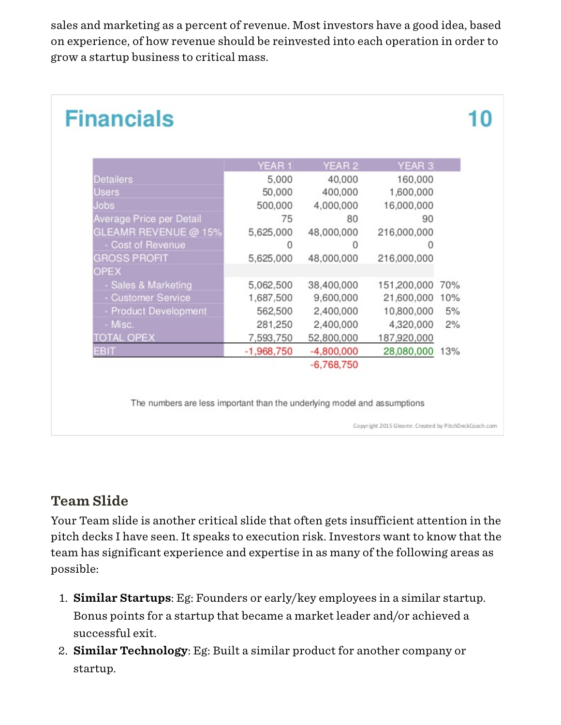sales and marketing as a percent of revenue. Most investors have a good idea, based on experience, of how revenue should be reinvested into each operation in order to grow a startup business to critical mass.

|                            | YEAR 1       | YEAR 2       | YEAR <sub>3</sub> |     |
|----------------------------|--------------|--------------|-------------------|-----|
| <b>Detailers</b>           | 5,000        | 40,000       | 160,000           |     |
| Users                      | 50,000       | 400,000      | 1,600,000         |     |
| <b>Jobs</b>                | 500,000      | 4,000,000    | 16,000,000        |     |
| Average Price per Detail   | 75           | 80           | 90                |     |
| GLEAMR REVENUE @ 15%       | 5,625,000    | 48,000,000   | 216,000,000       |     |
| Cost of Revenue            | 0            | 0            | Ω                 |     |
| <b>GROSS PROFIT</b>        | 5,625,000    | 48,000,000   | 216,000,000       |     |
| <b>OPEX</b>                |              |              |                   |     |
| - Sales & Marketing        | 5,062,500    | 38,400,000   | 151,200,000       | 70% |
| <b>Customer Service</b>    | 1,687,500    | 9,600,000    | 21,600,000 10%    |     |
| <b>Product Development</b> | 562,500      | 2,400,000    | 10,800,000        | 5%  |
| - Misc.                    | 281,250      | 2,400,000    | 4,320,000         | 2%  |
| <b>TOTAL OPEX</b>          | 7,593,750    | 52,800,000   | 187,920,000       |     |
| <b>EBIT</b>                | $-1,968,750$ | $-4,800,000$ | 28,080,000        | 13% |
|                            |              | $-6,768,750$ |                   |     |

### Team Slide

Your Team slide is another critical slide that often gets insufficient attention in the pitch decks I have seen. It speaks to execution risk. Investors want to know that the team has significant experience and expertise in as many of the following areas as possible:

- 1. Similar Startups: Eg: Founders or early/key employees in a similar startup. Bonus points for a startup that became a market leader and/or achieved a successful exit.
- 2. Similar Technology: Eg: Built a similar product for another company or startup.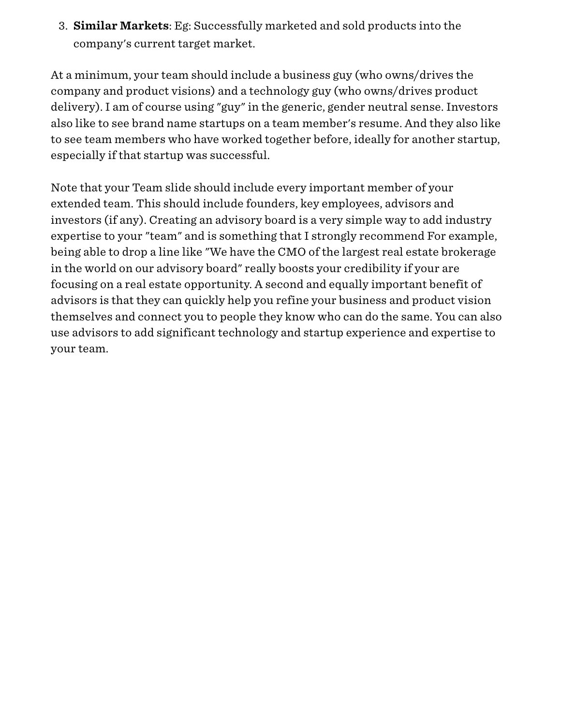3. Similar Markets: Eg: Successfully marketed and sold products into the company's current target market.

At a minimum, your team should include a business guy (who owns/drives the company and product visions) and a technology guy (who owns/drives product delivery). I am of course using "guy" in the generic, gender neutral sense. Investors also like to see brand name startups on a team member's resume. And they also like to see team members who have worked together before, ideally for another startup, especially if that startup was successful.

Note that your Team slide should include every important member of your extended team. This should include founders, key employees, advisors and investors (if any). Creating an advisory board is a very simple way to add industry expertise to your "team" and is something that I strongly recommend For example, being able to drop a line like "We have the CMO of the largest real estate brokerage in the world on our advisory board" really boosts your credibility if your are focusing on a real estate opportunity. A second and equally important benefit of advisors is that they can quickly help you refine your business and product vision themselves and connect you to people they know who can do the same. You can also use advisors to add significant technology and startup experience and expertise to your team.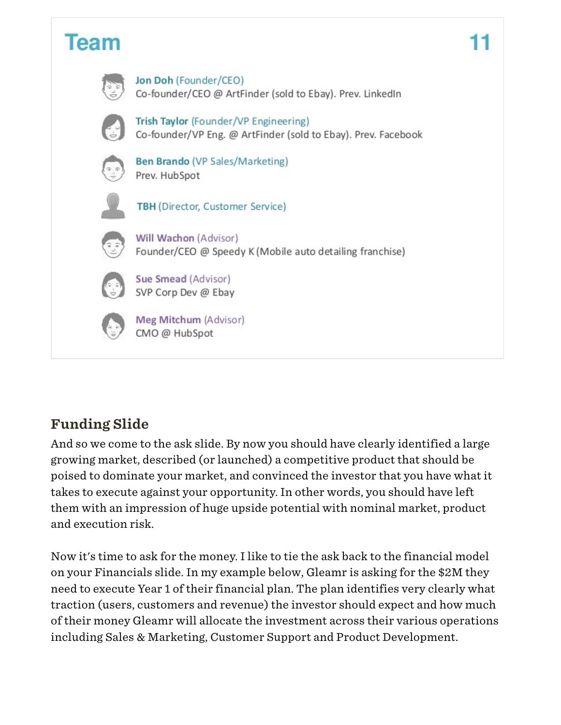![](_page_21_Figure_0.jpeg)

### Funding Slide

And so we come to the ask slide. By now you should have clearly identified a large growing market, described (or launched) a competitive product that should be poised to dominate your market, and convinced the investor that you have what it takes to execute against your opportunity. In other words, you should have left them with an impression of huge upside potential with nominal market, product and execution risk.

Now it's time to ask for the money. I like to tie the ask back to the financial model on your Financials slide. In my example below, Gleamr is asking for the \$2M they need to execute Year 1 of their financial plan. The plan identifies very clearly what traction (users, customers and revenue) the investor should expect and how much of their money Gleamr will allocate the investment across their various operations including Sales & Marketing, Customer Support and Product Development.

# 11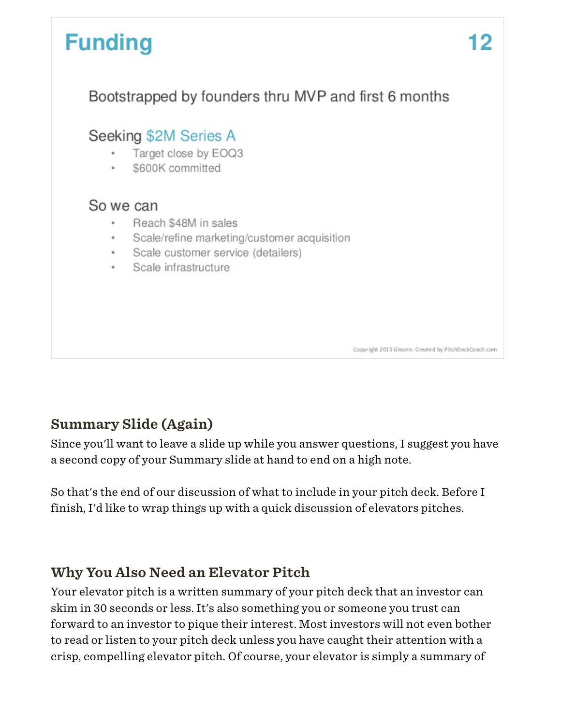![](_page_22_Picture_0.jpeg)

### Summary Slide (Again)

Since you'll want to leave a slide up while you answer questions, I suggest you have a second copy of your Summary slide at hand to end on a high note.

So that's the end of our discussion of what to include in your pitch deck. Before I finish, I'd like to wrap things up with a quick discussion of elevators pitches.

#### Why You Also Need an Elevator Pitch

Your elevator pitch is a written summary of your pitch deck that an investor can skim in 30 seconds or less. It's also something you or someone you trust can forward to an investor to pique their interest. Most investors will not even bother to read or listen to your pitch deck unless you have caught their attention with a crisp, compelling elevator pitch. Of course, your elevator is simply a summary of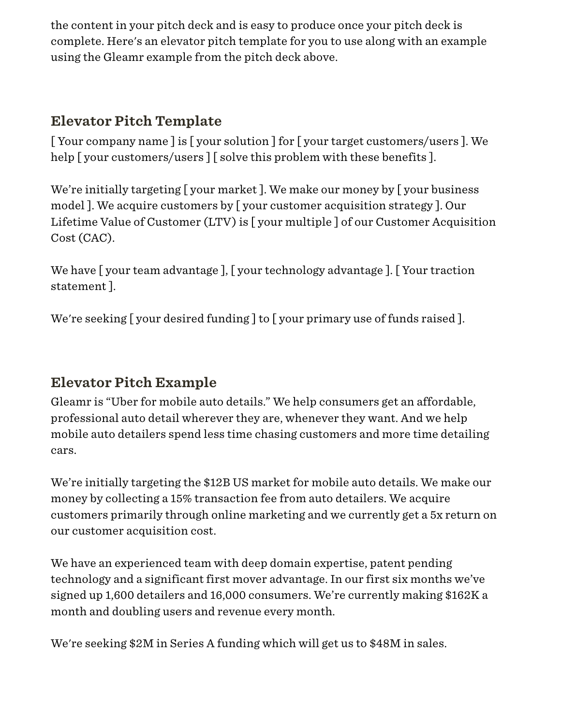the content in your pitch deck and is easy to produce once your pitch deck is complete. Here's an elevator pitch template for you to use along with an example using the Gleamr example from the pitch deck above.

### Elevator Pitch Template

[ Your company name ] is [ your solution ] for [ your target customers/users ]. We help [your customers/users] [solve this problem with these benefits].

We're initially targeting [ your market ]. We make our money by [ your business model ]. We acquire customers by [ your customer acquisition strategy ]. Our Lifetime Value of Customer (LTV) is [ your multiple ] of our Customer Acquisition Cost (CAC).

We have [ your team advantage ], [ your technology advantage ]. [ Your traction statement ].

We're seeking [ your desired funding ] to [ your primary use of funds raised ].

#### Elevator Pitch Example

Gleamr is "Uber for mobile auto details." We help consumers get an affordable, professional auto detail wherever they are, whenever they want. And we help mobile auto detailers spend less time chasing customers and more time detailing cars.

We're initially targeting the \$12B US market for mobile auto details. We make our money by collecting a 15% transaction fee from auto detailers. We acquire customers primarily through online marketing and we currently get a 5x return on our customer acquisition cost.

We have an experienced team with deep domain expertise, patent pending technology and a significant first mover advantage. In our first six months we've signed up 1,600 detailers and 16,000 consumers. We're currently making \$162K a month and doubling users and revenue every month.

We're seeking \$2M in Series A funding which will get us to \$48M in sales.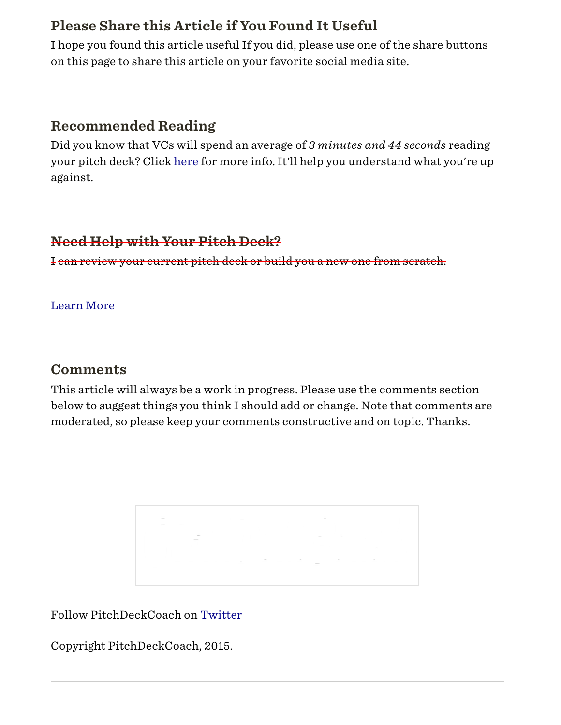#### Please Share this Article if You Found It Useful

I hope you found this article useful If you did, please use one of the share buttons on this page to share this article on your favorite social media site.

#### Recommended Reading

Did you know that VCs will spend an average of *3 minutes and 44 seconds* reading your pitch deck? Click [here](http://techcrunch.com/2015/06/08/lessons-from-a-study-of-perfect-pitch-decks-vcs-spend-an-average-of-3-minutes-44-seconds-on-them/) for more info. It'll help you understand what you're up against.

#### Need Help with Your Pitch Deck?

I can review your current pitch deck or build you a new one from scratch.

[Learn More](http://pitchdeckcoach.com/)

#### **Comments**

This article will always be a work in progress. Please use the comments section below to suggest things you think I should add or change. Note that comments are moderated, so please keep your comments constructive and on topic. Thanks.

Follow PitchDeckCoach on [Twitter](https://twitter.com/PitchDeckCoach)

Copyright PitchDeckCoach, 2015.